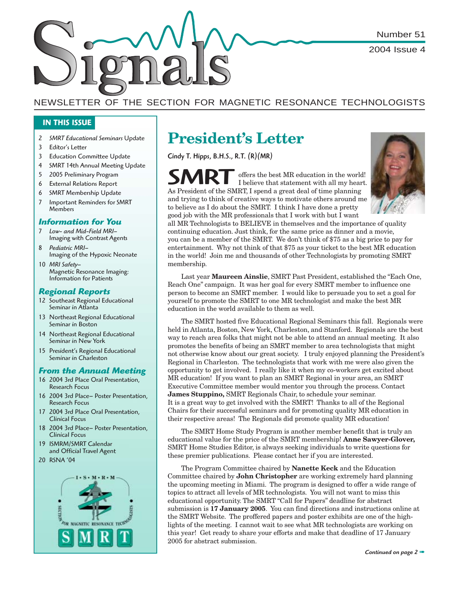Number 51

2004 Issue 4

### NEWSLETTER OF THE SECTION FOR MAGNETIC RESONANCE TECHNOLOGISTS

#### **IN THIS ISSUE**

- 2 *SMRT Educational Seminars* Update
- 3 Editor's Letter
- 3 Education Committee Update
- 4 SMRT 14th Annual Meeting Update
- 5 2005 Preliminary Program
- 6 External Relations Report
- 6 SMRT Membership Update
- 7 Important Reminders for SMRT **Members**

#### *Information for You*

- 7 *Low- and Mid-Field MRI–* Imaging with Contrast Agents
- 8 *Pediatric MRI–* Imaging of the Hypoxic Neonate
- 10 *MRI Safety–* Magnetic Resonance Imaging: Information for Patients

#### *Regional Reports*

- 12 Southeast Regional Educational Seminar in Atlanta
- 13 Northeast Regional Educational Seminar in Boston
- 14 Northeast Regional Educational Seminar in New York
- 15 President's Regional Educational Seminar in Charleston

#### *From the Annual Meeting*

- 16 2004 3rd Place Oral Presentation, Research Focus
- 16 2004 3rd Place– Poster Presentation, Research Focus
- 17 2004 3rd Place Oral Presentation, Clinical Focus
- 18 2004 3rd Place– Poster Presentation, Clinical Focus
- 19 ISMRM/SMRT Calendar and Official Travel Agent
- 20 RSNA '04



### **President's Letter**

Cindy T. Hipps, B.H.S., R.T. (R)(MR)



SMRT offers the best MR education in the world<br>As President of the SMRT, I spend a great deal of time planning offers the best MR education in the world! I believe that statement with all my heart. and trying to think of creative ways to motivate others around me to believe as I do about the SMRT. I think I have done a pretty good job with the MR professionals that I work with but I want

all MR Technologists to BELIEVE in themselves and the importance of quality continuing education. Just think, for the same price as dinner and a movie, you can be a member of the SMRT. We don't think of \$75 as a big price to pay for entertainment. Why not think of that \$75 as your ticket to the best MR education in the world! Join me and thousands of other Technologists by promoting SMRT membership.

Last year **Maureen Ainslie**, SMRT Past President, established the "Each One, Reach One" campaign. It was her goal for every SMRT member to influence one person to become an SMRT member. I would like to persuade you to set a goal for yourself to promote the SMRT to one MR technologist and make the best MR education in the world available to them as well.

The SMRT hosted five Educational Regional Seminars this fall. Regionals were held in Atlanta, Boston, New York, Charleston, and Stanford. Regionals are the best way to reach area folks that might not be able to attend an annual meeting. It also promotes the benefits of being an SMRT member to area technologists that might not otherwise know about our great society. I truly enjoyed planning the President's Regional in Charleston. The technologists that work with me were also given the opportunity to get involved. I really like it when my co-workers get excited about MR education! If you want to plan an SMRT Regional in your area, an SMRT Executive Committee member would mentor you through the process. Contact **James Stuppino,** SMRT Regionals Chair, to schedule your seminar. It is a great way to get involved with the SMRT! Thanks to all of the Regional Chairs for their successful seminars and for promoting quality MR education in their respective areas! The Regionals did promote quality MR education!

The SMRT Home Study Program is another member benefit that is truly an educational value for the price of the SMRT membership! **Anne Sawyer-Glover,** SMRT Home Studies Editor, is always seeking individuals to write questions for these premier publications. Please contact her if you are interested.

The Program Committee chaired by **Nanette Keck** and the Education Committee chaired by **John Christopher** are working extremely hard planning the upcoming meeting in Miami. The program is designed to offer a wide range of topics to attract all levels of MR technologists. You will not want to miss this educational opportunity. The SMRT "Call for Papers" deadline for abstract submission is **17 January 2005**. You can find directions and instructions online at the SMRT Website. The proffered papers and poster exhibits are one of the highlights of the meeting. I cannot wait to see what MR technologists are working on this year! Get ready to share your efforts and make that deadline of 17 January 2005 for abstract submission.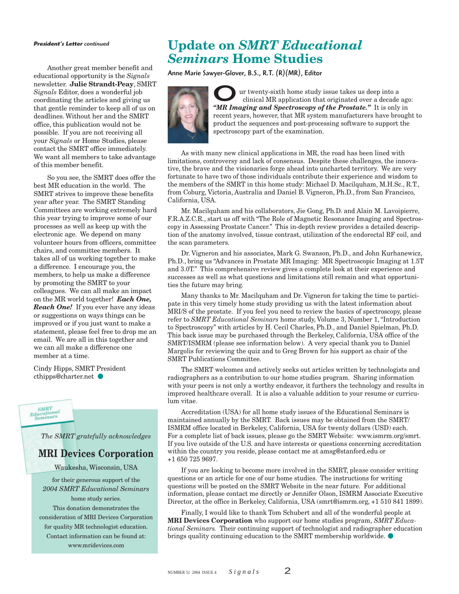#### *President's Letter continued*

Another great member benefit and educational opportunity is the *Signals* newsletter. **Julie Strandt-Peay**, SMRT *Signals* Editor, does a wonderful job coordinating the articles and giving us that gentle reminder to keep all of us on deadlines. Without her and the SMRT office, this publication would not be possible. If you are not receiving all your *Signals* or Home Studies, please contact the SMRT office immediately. We want all members to take advantage of this member benefit.

So you see, the SMRT does offer the best MR education in the world. The SMRT strives to improve these benefits year after year. The SMRT Standing Committees are working extremely hard this year trying to improve some of our processes as well as keep up with the electronic age. We depend on many volunteer hours from officers, committee chairs, and committee members. It takes all of us working together to make a difference. I encourage you, the members, to help us make a difference by promoting the SMRT to your colleagues. We can all make an impact on the MR world together! *Each One, Reach One!* If you ever have any ideas or suggestions on ways things can be improved or if you just want to make a statement, please feel free to drop me an email. We are all in this together and we can all make a difference one member at a time.

Cindy Hipps, SMRT President cthipps@charter.net



*The SMRT gratefully acknowledges*

#### **MRI Devices Corporation**

Waukesha, Wisconsin, USA

for their generous support of the *2004 SMRT Educational Seminars* home study series. This donation demonstrates the consideration of MRI Devices Corporation for quality MR technologist education. Contact information can be found at: www.mridevices.com

### **Update on** *SMRT Educational Seminars* **Home Studies**

Anne Marie Sawyer-Glover, B.S., R.T. (R)(MR), Editor



Our twenty-sixth home study issue takes us deep into a clinical MR application that originated over a decade agement and Spectroscopy of the Prostate." It is only in clinical MR application that originated over a decade ago: recent years, however, that MR system manufacturers have brought to product the sequences and post-processing software to support the spectroscopy part of the examination.

As with many new clinical applications in MR, the road has been lined with limitations, controversy and lack of consensus. Despite these challenges, the innovative, the brave and the visionaries forge ahead into uncharted territory. We are very fortunate to have two of those individuals contribute their experience and wisdom to the members of the SMRT in this home study: Michael D. Macilquham, M.H.Sc., R.T., from Coburg, Victoria, Australia and Daniel B. Vigneron, Ph.D., from San Francisco, California, USA.

Mr. Macilquham and his collaborators, Jie Gong, Ph.D. and Alain M. Lavoipierre, F.R.A.Z.C.R., start us off with "The Role of Magnetic Resonance Imaging and Spectroscopy in Assessing Prostate Cancer." This in-depth review provides a detailed description of the anatomy involved, tissue contrast, utilization of the endorectal RF coil, and the scan parameters.

Dr. Vigneron and his associates, Mark G. Swanson, Ph.D., and John Kurhanewicz, Ph.D., bring us "Advances in Prostate MR Imaging: MR Spectroscopic Imaging at 1.5T and 3.0T." This comprehensive review gives a complete look at their experience and successes as well as what questions and limitations still remain and what opportunities the future may bring.

Many thanks to Mr. Macilquham and Dr. Vigneron for taking the time to participate in this very timely home study providing us with the latest information about MRI/S of the prostate. If you feel you need to review the basics of spectroscopy, please refer to *SMRT Educational Seminars* home study, Volume 3, Number 1, "Introduction to Spectroscopy" with articles by H. Cecil Charles, Ph.D., and Daniel Spielman, Ph.D. This back issue may be purchased through the Berkeley, California, USA office of the SMRT/ISMRM (please see information below). A very special thank you to Daniel Margolis for reviewing the quiz and to Greg Brown for his support as chair of the SMRT Publications Committee.

The SMRT welcomes and actively seeks out articles written by technologists and radiographers as a contribution to our home studies program. Sharing information with your peers is not only a worthy endeavor, it furthers the technology and results in improved healthcare overall. It is also a valuable addition to your resume or curriculum vitae.

Accreditation (USA) for all home study issues of the Educational Seminars is maintained annually by the SMRT. Back issues may be obtained from the SMRT/ ISMRM office located in Berkeley, California, USA for twenty dollars (USD) each. For a complete list of back issues, please go the SMRT Website: www.ismrm.org/smrt. If you live outside of the U.S. and have interests or questions concerning accreditation within the country you reside, please contact me at amsg@stanford.edu or +1 650 725 9697.

If you are looking to become more involved in the SMRT, please consider writing questions or an article for one of our home studies. The instructions for writing questions will be posted on the SMRT Website in the near future. For additional information, please contact me directly or Jennifer Olson, ISMRM Associate Executive Director, at the office in Berkeley, California, USA (smrt@ismrm.org, +1 510 841 1899).

Finally, I would like to thank Tom Schubert and all of the wonderful people at **MRI Devices Corporation** who support our home studies program, *SMRT Educational Seminars.* Their continuing support of technologist and radiographer education brings quality continuing education to the SMRT membership worldwide.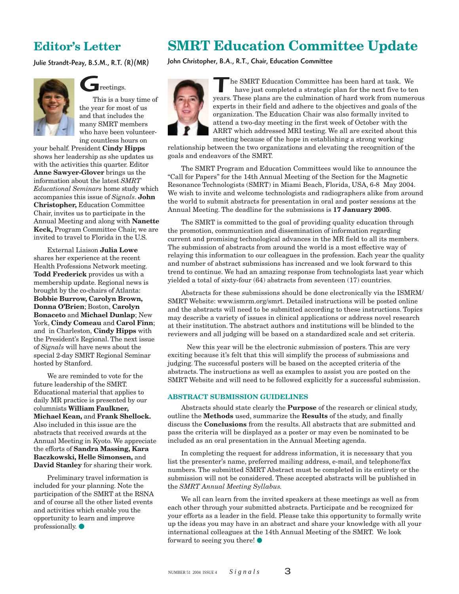### **Editor's Letter**

Julie Strandt-Peay, B.S.M., R.T. (R)(MR)



### G reetings.

This is a busy time of the year for most of us and that includes the many SMRT members who have been volunteering countless hours on

your behalf. President **Cindy Hipps** shows her leadership as she updates us with the activities this quarter. Editor **Anne Sawyer-Glover** brings us the information about the latest *SMRT Educational Seminars* home study which accompanies this issue of *Signals*. **John Christopher,** Education Committee Chair, invites us to participate in the Annual Meeting and along with **Nanette Keck,** Program Committee Chair, we are invited to travel to Florida in the U.S.

External Liaison **Julia Lowe** shares her experience at the recent Health Professions Network meeting. **Todd Frederick** provides us with a membership update. Regional news is brought by the co-chairs of Atlanta: **Bobbie Burrow, Carolyn Brown, Donna O'Brien**; Boston, **Carolyn Bonaceto** and **Michael Dunlap**; New York, **Cindy Comeau** and **Carol Finn**; and in Charleston, **Cindy Hipps** with the President's Regional. The next issue of *Signals* will have news about the special 2-day SMRT Regional Seminar hosted by Stanford.

We are reminded to vote for the future leadership of the SMRT. Educational material that applies to daily MR practice is presented by our columnists **William Faulkner, Michael Kean,** and **Frank Shellock.** Also included in this issue are the abstracts that received awards at the Annual Meeting in Kyoto. We appreciate the efforts of **Sandra Massing, Kara Baczkowski, Helle Simonsen,** and **David Stanley** for sharing their work.

Preliminary travel information is included for your planning. Note the participation of the SMRT at the RSNA and of course all the other listed events and activities which enable you the opportunity to learn and improve professionally.

### **SMRT Education Committee Update**

John Christopher, B.A., R.T., Chair, Education Committee



The SMRT Education Committee has been hard at task. We have just completed a strategic plan for the next five to te vears. These plans are the culmination of hard work from numer have just completed a strategic plan for the next five to ten years. These plans are the culmination of hard work from numerous experts in their field and adhere to the objectives and goals of the organization. The Education Chair was also formally invited to attend a two-day meeting in the first week of October with the ARRT which addressed MRI testing. We all are excited about this meeting because of the hope in establishing a strong working

relationship between the two organizations and elevating the recognition of the goals and endeavors of the SMRT.

The SMRT Program and Education Committees would like to announce the "Call for Papers" for the 14th Annual Meeting of the Section for the Magnetic Resonance Technologists (SMRT) in Miami Beach, Florida, USA, 6-8 May 2004. We wish to invite and welcome technologists and radiographers alike from around the world to submit abstracts for presentation in oral and poster sessions at the Annual Meeting. The deadline for the submissions is **17 January 2005**.

The SMRT is committed to the goal of providing quality education through the promotion, communication and dissemination of information regarding current and promising technological advances in the MR field to all its members. The submission of abstracts from around the world is a most effective way of relaying this information to our colleagues in the profession. Each year the quality and number of abstract submissions has increased and we look forward to this trend to continue. We had an amazing response from technologists last year which yielded a total of sixty-four (64) abstracts from seventeen (17) countries.

Abstracts for these submissions should be done electronically via the ISMRM/ SMRT Website: www.ismrm.org/smrt. Detailed instructions will be posted online and the abstracts will need to be submitted according to these instructions. Topics may describe a variety of issues in clinical applications or address novel research at their institution. The abstract authors and institutions will be blinded to the reviewers and all judging will be based on a standardized scale and set criteria.

 New this year will be the electronic submission of posters. This are very exciting because it's felt that this will simplify the process of submissions and judging. The successful posters will be based on the accepted criteria of the abstracts. The instructions as well as examples to assist you are posted on the SMRT Website and will need to be followed explicitly for a successful submission.

#### **ABSTRACT SUBMISSION GUIDELINES**

Abstracts should state clearly the **Purpose** of the research or clinical study, outline the **Methods** used, summarize the **Results** of the study, and finally discuss the **Conclusions** from the results. All abstracts that are submitted and pass the criteria will be displayed as a poster or may even be nominated to be included as an oral presentation in the Annual Meeting agenda.

In completing the request for address information, it is necessary that you list the presenter's name, preferred mailing address, e-mail, and telephone/fax numbers. The submitted SMRT Abstract must be completed in its entirety or the submission will not be considered. These accepted abstracts will be published in the *SMRT Annual Meeting Syllabus.*

We all can learn from the invited speakers at these meetings as well as from each other through your submitted abstracts. Participate and be recognized for your efforts as a leader in the field. Please take this opportunity to formally write up the ideas you may have in an abstract and share your knowledge with all your international colleagues at the 14th Annual Meeting of the SMRT. We look forward to seeing you there!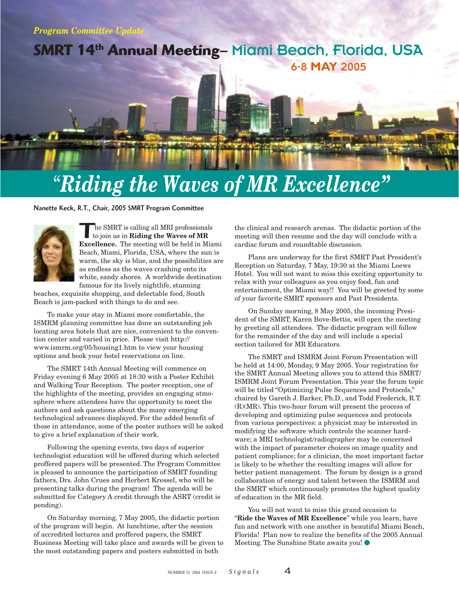

# "*Riding the Waves of MR Excellence"*

Nanette Keck, R.T., Chair, 2005 SMRT Program Committee



The SMRT is calling all MRI professionals<br>to join us in **Riding the Waves of MR**<br>**Excellence.** The meeting will be held in Miami he SMRT is calling all MRI professionals to join us in **Riding the Waves of MR** Beach, Miami, Florida, USA, where the sun is warm, the sky is blue, and the possibilities are as endless as the waves crashing onto its white, sandy shores. A worldwide destination famous for its lively nightlife, stunning

beaches, exquisite shopping, and delectable food, South Beach is jam-packed with things to do and see.

To make your stay in Miami more comfortable, the ISMRM planning committee has done an outstanding job locating area hotels that are nice, convenient to the convention center and varied in price. Please visit http:// www.ismrm.org/05/housing1.htm to view your housing options and book your hotel reservations on line.

The SMRT 14th Annual Meeting will commence on Friday evening 6 May 2005 at 18:30 with a Poster Exhibit and Walking Tour Reception. The poster reception, one of the highlights of the meeting, provides an engaging atmosphere where attendees have the opportunity to meet the authors and ask questions about the many emerging technological advances displayed. For the added benefit of those in attendance, some of the poster authors will be asked to give a brief explanation of their work.

Following the opening events, two days of superior technologist education will be offered during which selected proffered papers will be presented. The Program Committee is pleased to announce the participation of SMRT founding fathers, Drs. John Crues and Herbert Kressel, who will be presenting talks during the program! The agenda will be submitted for Category A credit through the ASRT (credit is pending).

On Saturday morning, 7 May 2005, the didactic portion of the program will begin. At lunchtime, after the session of accredited lectures and proffered papers, the SMRT Business Meeting will take place and awards will be given to the most outstanding papers and posters submitted in both

the clinical and research arenas. The didactic portion of the meeting will then resume and the day will conclude with a cardiac forum and roundtable discussion.

Plans are underway for the first SMRT Past President's Reception on Saturday, 7 May, 19:30 at the Miami Loews Hotel. You will not want to miss this exciting opportunity to relax with your colleagues as you enjoy food, fun and entertainment, the Miami way!! You will be greeted by some of your favorite SMRT sponsors and Past Presidents.

On Sunday morning, 8 May 2005, the incoming President of the SMRT, Karen Bove-Bettis, will open the meeting by greeting all attendees. The didactic program will follow for the remainder of the day and will include a special section tailored for MR Educators.

The SMRT and ISMRM Joint Forum Presentation will be held at 14:00, Monday, 9 May 2005. Your registration for the SMRT Annual Meeting allows you to attend this SMRT/ ISMRM Joint Forum Presentation. This year the forum topic will be titled "Optimizing Pulse Sequences and Protocols," chaired by Gareth J. Barker, Ph.D., and Todd Frederick, R.T. (R)(MR). This two-hour forum will present the process of developing and optimizing pulse sequences and protocols from various perspectives: a physicist may be interested in modifying the software which controls the scanner hardware; a MRI technologist/radiographer may be concerned with the impact of parameter choices on image quality and patient compliance; for a clinician, the most important factor is likely to be whether the resulting images will allow for better patient management. The forum by design is a grand collaboration of energy and talent between the ISMRM and the SMRT which continuously promotes the highest quality of education in the MR field.

You will not want to miss this grand occasion to "**Ride the Waves of MR Excellence**" while you learn, have fun and network with one another in beautiful Miami Beach, Florida! Plan now to realize the benefits of the 2005 Annual Meeting. The Sunshine State awaits you!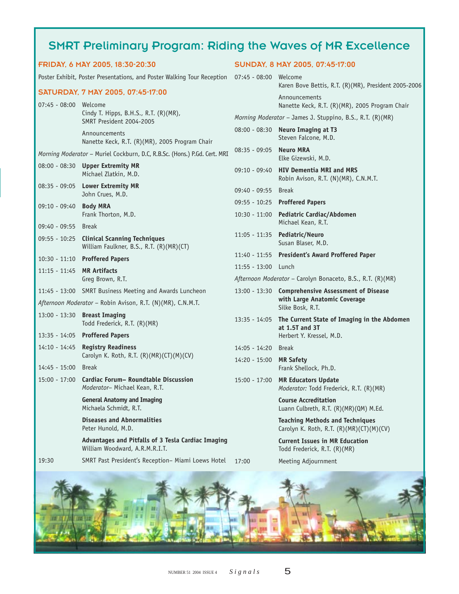### SMRT Preliminary Program: Riding the Waves of MR Excellence

| FRIDAY, 6 MAY 2005, 18:30-20:30                                                               |                                                                                        | SUNDAY, 8 MAY 2005, 07:45-17:00                            |                                                                                                       |  |
|-----------------------------------------------------------------------------------------------|----------------------------------------------------------------------------------------|------------------------------------------------------------|-------------------------------------------------------------------------------------------------------|--|
| Poster Exhibit, Poster Presentations, and Poster Walking Tour Reception 07:45 - 08:00 Welcome |                                                                                        |                                                            |                                                                                                       |  |
| SATURDAY, 7 MAY 2005, 07:45-17:00                                                             |                                                                                        |                                                            | Karen Bove Bettis, R.T. (R)(MR), President 2005-2006<br>Announcements                                 |  |
| $07:45 - 08:00$                                                                               | Welcome                                                                                |                                                            | Nanette Keck, R.T. (R)(MR), 2005 Program Chair                                                        |  |
|                                                                                               | Cindy T. Hipps, B.H.S., R.T. (R)(MR),<br>SMRT President 2004-2005                      |                                                            | Morning Moderator - James J. Stuppino, B.S., R.T. (R)(MR)                                             |  |
|                                                                                               | Announcements<br>Nanette Keck, R.T. (R)(MR), 2005 Program Chair                        |                                                            | 08:00 - 08:30 Neuro Imaging at T3<br>Steven Falcone, M.D.                                             |  |
| Morning Moderator - Muriel Cockburn, D.C, R.B.Sc. (Hons.) P.Gd. Cert. MRI                     |                                                                                        | 08:35 - 09:05 Neuro MRA                                    |                                                                                                       |  |
| 08:00 - 08:30 Upper Extremity MR<br>Michael Zlatkin, M.D.                                     |                                                                                        |                                                            | Elke Gizewski, M.D.<br>09:10 - 09:40 HIV Dementia MRI and MRS<br>Robin Avison, R.T. (N)(MR), C.N.M.T. |  |
|                                                                                               | 08:35 - 09:05 Lower Extremity MR                                                       | 09:40 - 09:55 Break                                        |                                                                                                       |  |
|                                                                                               | John Crues, M.D.                                                                       |                                                            | 09:55 - 10:25 Proffered Papers                                                                        |  |
| $09:10 - 09:40$                                                                               | <b>Body MRA</b><br>Frank Thorton, M.D.                                                 |                                                            | 10:30 - 11:00 Pediatric Cardiac/Abdomen<br>Michael Kean, R.T.                                         |  |
| 09:40 - 09:55 Break                                                                           |                                                                                        |                                                            | 11:05 - 11:35 Pediatric/Neuro                                                                         |  |
|                                                                                               | 09:55 - 10:25 Clinical Scanning Techniques<br>William Faulkner, B.S., R.T. (R)(MR)(CT) |                                                            | Susan Blaser, M.D.                                                                                    |  |
|                                                                                               | 10:30 - 11:10 Proffered Papers                                                         |                                                            | 11:40 - 11:55 President's Award Proffered Paper                                                       |  |
| $11:15 - 11:45$                                                                               | <b>MR Artifacts</b>                                                                    | 11:55 - 13:00 Lunch                                        |                                                                                                       |  |
|                                                                                               | Greg Brown, R.T.                                                                       | Afternoon Moderator - Carolyn Bonaceto, B.S., R.T. (R)(MR) |                                                                                                       |  |
|                                                                                               | 11:45 - 13:00 SMRT Business Meeting and Awards Luncheon                                |                                                            | 13:00 - 13:30 Comprehensive Assessment of Disease                                                     |  |
| Afternoon Moderator – Robin Avison, R.T. (N)(MR), C.N.M.T.                                    |                                                                                        |                                                            | with Large Anatomic Coverage<br>Silke Bosk, R.T.                                                      |  |
|                                                                                               | 13:00 - 13:30 Breast Imaging<br>Todd Frederick, R.T. (R)(MR)                           |                                                            | 13:35 - 14:05 The Current State of Imaging in the Abdomen<br>at 1.5T and 3T                           |  |
|                                                                                               | 13:35 - 14:05 Proffered Papers                                                         |                                                            | Herbert Y. Kressel, M.D.                                                                              |  |
|                                                                                               | 14:10 - 14:45 Registry Readiness                                                       | 14:05 - 14:20 Break                                        |                                                                                                       |  |
| 14:45 - 15:00 Break                                                                           | Carolyn K. Roth, R.T. (R)(MR)(CT)(M)(CV)                                               | 14:20 - 15:00 MR Safety                                    | Frank Shellock, Ph.D.                                                                                 |  |
| $15:00 - 17:00$                                                                               | Cardiac Forum- Roundtable Discussion<br>Moderator- Michael Kean, R.T.                  |                                                            | 15:00 - 17:00 MR Educators Update<br>Moderator: Todd Frederick, R.T. (R)(MR)                          |  |
|                                                                                               | <b>General Anatomy and Imaging</b><br>Michaela Schmidt, R.T.                           |                                                            | <b>Course Accreditation</b><br>Luann Culbreth, R.T. (R)(MR)(QM) M.Ed.                                 |  |
|                                                                                               | <b>Diseases and Abnormalities</b><br>Peter Hunold, M.D.                                |                                                            | <b>Teaching Methods and Techniques</b><br>Carolyn K. Roth, R.T. (R)(MR)(CT)(M)(CV)                    |  |
|                                                                                               | Advantages and Pitfalls of 3 Tesla Cardiac Imaging<br>William Woodward, A.R.M.R.I.T.   |                                                            | <b>Current Issues in MR Education</b><br>Todd Frederick, R.T. (R)(MR)                                 |  |
| 19:30                                                                                         | SMRT Past President's Reception- Miami Loews Hotel                                     | 17:00                                                      | Meeting Adjournment                                                                                   |  |
|                                                                                               |                                                                                        |                                                            |                                                                                                       |  |

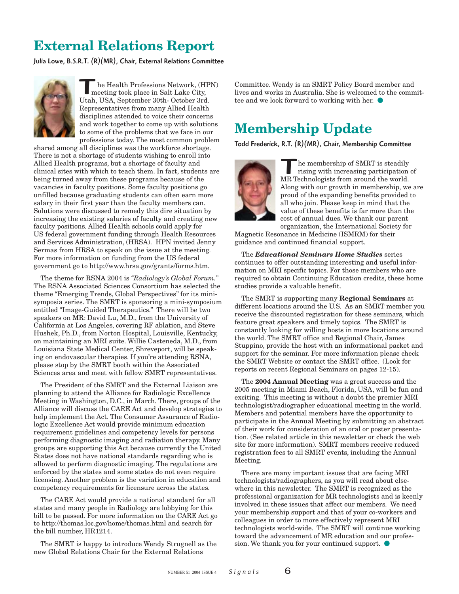### **External Relations Report**

Julia Lowe, B.S.R.T. (R)(MR), Chair, External Relations Committee



Ine Health Professions Network, (HP<br>
meeting took place in Salt Lake City,<br>
Utah, USA, September 30th- October 3rd. he Health Professions Network, (HPN) meeting took place in Salt Lake City, Representatives from many Allied Health disciplines attended to voice their concerns and work together to come up with solutions to some of the problems that we face in our professions today. The most common problem

shared among all disciplines was the workforce shortage. There is not a shortage of students wishing to enroll into Allied Health programs, but a shortage of faculty and clinical sites with which to teach them. In fact, students are being turned away from these programs because of the vacancies in faculty positions. Some faculty positions go unfilled because graduating students can often earn more salary in their first year than the faculty members can. Solutions were discussed to remedy this dire situation by increasing the existing salaries of faculty and creating new faculty positions. Allied Health schools could apply for US federal government funding through Health Resources and Services Administration, (HRSA). HPN invited Jenny Sermas from HRSA to speak on the issue at the meeting. For more information on funding from the US federal government go to http://www.hrsa.gov/grants/forms.htm.

The theme for RSNA 2004 is *"Radiology's Global Forum."* The RSNA Associated Sciences Consortium has selected the theme "Emerging Trends, Global Perspectives" for its minisymposia series. The SMRT is sponsoring a mini-symposium entitled "Image-Guided Therapeutics." There will be two speakers on MR: David Lu, M.D., from the University of California at Los Angeles, covering RF ablation, and Steve Hushek, Ph.D., from Norton Hospital, Louisville, Kentucky, on maintaining an MRI suite. Willie Casteneda, M.D., from Louisiana State Medical Center, Shreveport, will be speaking on endovascular therapies. If you're attending RSNA, please stop by the SMRT booth within the Associated Sciences area and meet with fellow SMRT representatives.

The President of the SMRT and the External Liaison are planning to attend the Alliance for Radiologic Excellence Meeting in Washington, D.C., in March. There, groups of the Alliance will discuss the CARE Act and develop strategies to help implement the Act. The Consumer Assurance of Radiologic Excellence Act would provide minimum education requirement guidelines and competency levels for persons performing diagnostic imaging and radiation therapy. Many groups are supporting this Act because currently the United States does not have national standards regarding who is allowed to perform diagnostic imaging. The regulations are enforced by the states and some states do not even require licensing. Another problem is the variation in education and competency requirements for licensure across the states.

The CARE Act would provide a national standard for all states and many people in Radiology are lobbying for this bill to be passed. For more information on the CARE Act go to http://thomas.loc.gov/home/thomas.html and search for the bill number, HR1214.

The SMRT is happy to introduce Wendy Strugnell as the new Global Relations Chair for the External Relations

Committee. Wendy is an SMRT Policy Board member and lives and works in Australia. She is welcomed to the committee and we look forward to working with her.

### **Membership Update**

Todd Frederick, R.T. (R)(MR), Chair, Membership Committee



The membership of SMRT is steadily<br>rising with increasing participation<br>MR Technologists from around the world. he membership of SMRT is steadily rising with increasing participation of Along with our growth in membership, we are proud of the expanding benefits provided to all who join. Please keep in mind that the value of these benefits is far more than the cost of annual dues. We thank our parent organization, the International Society for

Magnetic Resonance in Medicine (ISMRM) for their guidance and continued financial support.

The *Educational Seminars Home Studies* series continues to offer outstanding interesting and useful information on MRI specific topics. For those members who are required to obtain Continuing Education credits, these home studies provide a valuable benefit.

The SMRT is supporting many **Regional Seminars** at different locations around the U.S. As an SMRT member you receive the discounted registration for these seminars, which feature great speakers and timely topics. The SMRT is constantly looking for willing hosts in more locations around the world. The SMRT office and Regional Chair, James Stuppino, provide the host with an informational packet and support for the seminar. For more information please check the SMRT Website or contact the SMRT office. (Look for reports on recent Regional Seminars on pages 12-15).

The **2004 Annual Meeting** was a great success and the 2005 meeting in Miami Beach, Florida, USA, will be fun and exciting. This meeting is without a doubt the premier MRI technologist/radiographer educational meeting in the world. Members and potential members have the opportunity to participate in the Annual Meeting by submitting an abstract of their work for consideration of an oral or poster presentation. (See related article in this newsletter or check the web site for more information). SMRT members receive reduced registration fees to all SMRT events, including the Annual Meeting.

There are many important issues that are facing MRI technologists/radiographers, as you will read about elsewhere in this newsletter. The SMRT is recognized as the professional organization for MR technologists and is keenly involved in these issues that affect our members. We need your membership support and that of your co-workers and colleagues in order to more effectively represent MRI technologists world-wide. The SMRT will continue working toward the advancement of MR education and our profession. We thank you for your continued support.  $\bullet$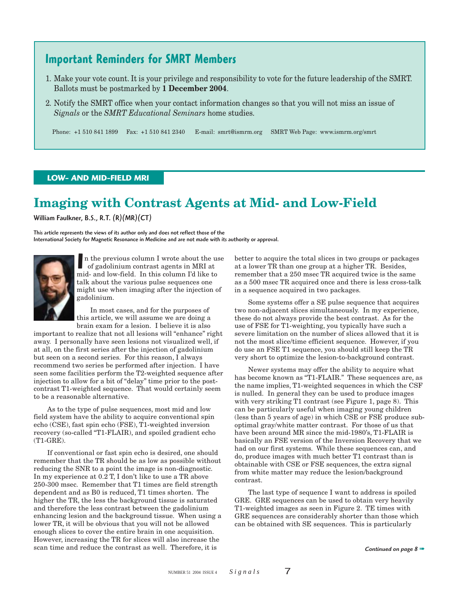### **Important Reminders for SMRT Members**

- 1. Make your vote count. It is your privilege and responsibility to vote for the future leadership of the SMRT. Ballots must be postmarked by **1 December 2004**.
- 2. Notify the SMRT office when your contact information changes so that you will not miss an issue of *Signals* or the *SMRT Educational Seminars* home studies.

Phone: +1 510 841 1899 Fax: +1 510 841 2340 E-mail: smrt@ismrm.org SMRT Web Page: www.ismrm.org/smrt

#### **LOW- AND MID-FIELD MRI**

### **Imaging with Contrast Agents at Mid- and Low-Field**

William Faulkner, B.S., R.T. (R)(MR)(CT)

This article represents the views of its author only and does not reflect those of the International Society for Magnetic Resonance in Medicine and are not made with its authority or approval.



In the previous column I wrote about the u<br>of gadolinium contrast agents in MRI at<br>mid- and low-field. In this column I'd like to n the previous column I wrote about the use of gadolinium contrast agents in MRI at talk about the various pulse sequences one might use when imaging after the injection of gadolinium.

In most cases, and for the purposes of this article, we will assume we are doing a brain exam for a lesion. I believe it is also

important to realize that not all lesions will "enhance" right away. I personally have seen lesions not visualized well, if at all, on the first series after the injection of gadolinium but seen on a second series. For this reason, I always recommend two series be performed after injection. I have seen some facilities perform the T2-weighted sequence after injection to allow for a bit of "delay" time prior to the postcontrast T1-weighted sequence. That would certainly seem to be a reasonable alternative.

As to the type of pulse sequences, most mid and low field system have the ability to acquire conventional spin echo (CSE), fast spin echo (FSE), T1-weighted inversion recovery (so-called "T1-FLAIR), and spoiled gradient echo (T1-GRE).

If conventional or fast spin echo is desired, one should remember that the TR should be as low as possible without reducing the SNR to a point the image is non-diagnostic. In my experience at 0.2 T, I don't like to use a TR above 250-300 msec. Remember that T1 times are field strength dependent and as B0 is reduced, T1 times shorten. The higher the TR, the less the background tissue is saturated and therefore the less contrast between the gadolinium enhancing lesion and the background tissue. When using a lower TR, it will be obvious that you will not be allowed enough slices to cover the entire brain in one acquisition. However, increasing the TR for slices will also increase the scan time and reduce the contrast as well. Therefore, it is

better to acquire the total slices in two groups or packages at a lower TR than one group at a higher TR. Besides, remember that a 250 msec TR acquired twice is the same as a 500 msec TR acquired once and there is less cross-talk in a sequence acquired in two packages.

Some systems offer a SE pulse sequence that acquires two non-adjacent slices simultaneously. In my experience, these do not always provide the best contrast. As for the use of FSE for T1-weighting, you typically have such a severe limitation on the number of slices allowed that it is not the most slice/time efficient sequence. However, if you do use an FSE T1 sequence, you should still keep the TR very short to optimize the lesion-to-background contrast.

Newer systems may offer the ability to acquire what has become known as "T1-FLAIR." These sequences are, as the name implies, T1-weighted sequences in which the CSF is nulled. In general they can be used to produce images with very striking T1 contrast (see Figure 1, page 8). This can be particularly useful when imaging young children (less than 5 years of age) in which CSE or FSE produce suboptimal gray/white matter contrast. For those of us that have been around MR since the mid-1980's, T1-FLAIR is basically an FSE version of the Inversion Recovery that we had on our first systems. While these sequences can, and do, produce images with much better T1 contrast than is obtainable with CSE or FSE sequences, the extra signal from white matter may reduce the lesion/background contrast.

The last type of sequence I want to address is spoiled GRE. GRE sequences can be used to obtain very heavily T1-weighted images as seen in Figure 2. TE times with GRE sequences are considerably shorter than those which can be obtained with SE sequences. This is particularly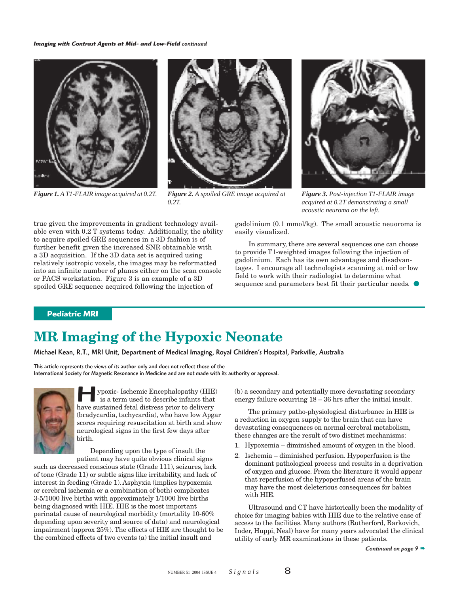

*Figure 1. A T1-FLAIR image acquired at 0.2T. Figure 2. A spoiled GRE image acquired at*

true given the improvements in gradient technology avail-

to acquire spoiled GRE sequences in a 3D fashion is of further benefit given the increased SNR obtainable with a 3D acquisition. If the 3D data set is acquired using relatively isotropic voxels, the images may be reformatted into an infinite number of planes either on the scan console or PACS workstation. Figure 3 is an example of a 3D spoiled GRE sequence acquired following the injection of



*0.2T.*



*Figure 3. Post-injection T1-FLAIR image acquired at 0.2T demonstrating a small acoustic neuroma on the left.*

able even with 0.2 T systems today. Additionally, the ability gadolinium (0.1 mmol/kg). The small acoustic neuoroma is easily visualized.

In summary, there are several sequences one can choose to provide T1-weighted images following the injection of gadolinium. Each has its own advantages and disadvantages. I encourage all technologists scanning at mid or low field to work with their radiologist to determine what sequence and parameters best fit their particular needs.

#### **Pediatric MRI**

### **MR Imaging of the Hypoxic Neonate**

Michael Kean, R.T., MRI Unit, Department of Medical Imaging, Royal Children's Hospital, Parkville, Australia

This article represents the views of its author only and does not reflect those of the International Society for Magnetic Resonance in Medicine and are not made with its authority or approval.



H ypoxic- Ischemic Encephalopathy (HIE) is a term used to describe infants that have sustained fetal distress prior to delivery (bradycardia, tachycardia), who have low Apgar scores requiring resuscitation at birth and show neurological signs in the first few days after birth.

Depending upon the type of insult the patient may have quite obvious clinical signs

such as decreased conscious state (Grade 111), seizures, lack of tone (Grade 11) or subtle signs like irritability, and lack of interest in feeding (Grade 1). Asphyxia (implies hypoxemia or cerebral ischemia or a combination of both) complicates 3-5/1000 live births with approximately 1/1000 live births being diagnosed with HIE. HIE is the most important perinatal cause of neurological morbidity (mortality 10-60% depending upon severity and source of data) and neurological impairment (approx 25%). The effects of HIE are thought to be the combined effects of two events (a) the initial insult and

(b) a secondary and potentially more devastating secondary energy failure occurring 18 – 36 hrs after the initial insult.

The primary patho-physiological disturbance in HIE is a reduction in oxygen supply to the brain that can have devastating consequences on normal cerebral metabolism, these changes are the result of two distinct mechanisms:

- 1. Hypoxemia diminished amount of oxygen in the blood.
- 2. Ischemia diminished perfusion. Hypoperfusion is the dominant pathological process and results in a deprivation of oxygen and glucose. From the literature it would appear that reperfusion of the hypoperfused areas of the brain may have the most deleterious consequences for babies with HIE.

Ultrasound and CT have historically been the modality of choice for imaging babies with HIE due to the relative ease of access to the facilities. Many authors (Rutherford, Barkovich, Inder, Huppi, Neal) have for many years advocated the clinical utility of early MR examinations in these patients.

*Continued on page 9* ➠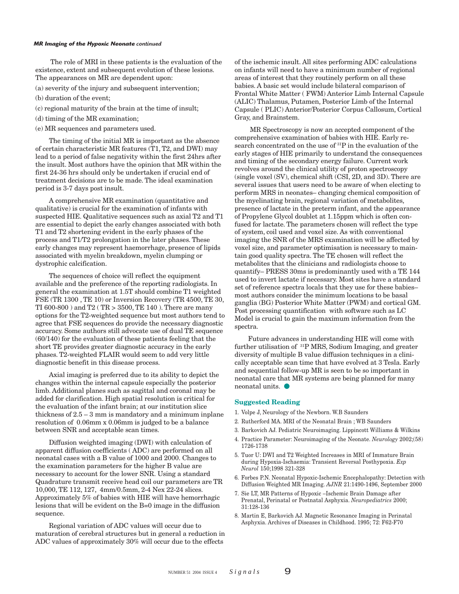#### *MR Imaging of the Hypoxic Neonate continued*

The role of MRI in these patients is the evaluation of the existence, extent and subsequent evolution of these lesions. The appearances on MR are dependent upon:

- (a) severity of the injury and subsequent intervention;
- (b) duration of the event;
- (c) regional maturity of the brain at the time of insult;
- (d) timing of the MR examination;
- (e) MR sequences and parameters used.

The timing of the initial MR is important as the absence of certain characteristic MR features (T1, T2, and DWI) may lead to a period of false negativity within the first 24hrs after the insult. Most authors have the opinion that MR within the first 24-36 hrs should only be undertaken if crucial end of treatment decisions are to be made. The ideal examination period is 3-7 days post insult.

A comprehensive MR examination (quantitative and qualitative) is crucial for the examination of infants with suspected HIE. Qualitative sequences such as axial T2 and T1 are essential to depict the early changes associated with both T1 and T2 shortening evident in the early phases of the process and T1/T2 prolongation in the later phases. These early changes may represent haemorrhage, presence of lipids associated with myelin breakdown, myelin clumping or dystrophic calcification.

The sequences of choice will reflect the equipment available and the preference of the reporting radiologists. In general the examination at 1.5T should combine T1 weighted FSE (TR 1300 , TE 10) or Inversion Recovery (TR 4500, TE 30, TI 600-800 ) and T2 ( TR > 3500, TE 140 ). There are many options for the T2-weighted sequence but most authors tend to agree that FSE sequences do provide the necessary diagnostic accuracy. Some authors still advocate use of dual TE sequence (60/140) for the evaluation of these patients feeling that the short TE provides greater diagnostic accuracy in the early phases. T2-weighted FLAIR would seem to add very little diagnostic benefit in this disease process.

Axial imaging is preferred due to its ability to depict the changes within the internal capsule especially the posterior limb. Additional planes such as sagittal and coronal may be added for clarification. High spatial resolution is critical for the evaluation of the infant brain; at our institution slice thickness of  $2.5 - 3$  mm is mandatory and a minimum inplane resolution of 0.06mm x 0.06mm is judged to be a balance between SNR and acceptable scan times.

Diffusion weighted imaging (DWI) with calculation of apparent diffusion coefficients ( ADC) are performed on all neonatal cases with a B value of 1000 and 2000. Changes to the examination parameters for the higher B value are necessary to account for the lower SNR. Using a standard Quadrature transmit receive head coil our parameters are TR 10,000, TE 112, 127, 4mm/0.5mm, 2-4 Nex 22-24 slices. Approximately 5% of babies with HIE will have hemorrhagic lesions that will be evident on the B=0 image in the diffusion sequence.

Regional variation of ADC values will occur due to maturation of cerebral structures but in general a reduction in ADC values of approximately 30% will occur due to the effects

of the ischemic insult. All sites performing ADC calculations on infants will need to have a minimum number of regional areas of interest that they routinely perform on all these babies. A basic set would include bilateral comparison of Frontal White Matter ( FWM) Anterior Limb Internal Capsule (ALIC) Thalamus, Putamen, Posterior Limb of the Internal Capsule ( PLIC) Anterior/Posterior Corpus Callosum, Cortical Gray, and Brainstem.

 MR Spectroscopy is now an accepted component of the comprehensive examination of babies with HIE. Early research concentrated on the use of 31P in the evaluation of the early stages of HIE primarily to understand the consequences and timing of the secondary energy failure. Current work revolves around the clinical utility of proton spectroscopy (single voxel (SV), chemical shift (CSI, 2D, and 3D). There are several issues that users need to be aware of when electing to perform MRS in neonates– changing chemical composition of the myelinating brain, regional variation of metabolites, presence of lactate in the preterm infant, and the appearance of Propylene Glycol doublet at 1.15ppm which is often confused for lactate. The parameters chosen will reflect the type of system, coil used and voxel size. As with conventional imaging the SNR of the MRS examination will be affected by voxel size, and parameter optimisation is necessary to maintain good quality spectra. The TE chosen will reflect the metabolites that the clinicians and radiologists choose to quantify– PRESS 30ms is predominantly used with a TE 144 used to invert lactate if necessary. Most sites have a standard set of reference spectra locals that they use for these babies– most authors consider the minimum locations to be basal ganglia (BG) Posterior White Matter (PWM) and cortical GM. Post processing quantification with software such as LC Model is crucial to gain the maximum information from the spectra.

Future advances in understanding HIE will come with further utilisation of 31P MRS, Sodium Imaging, and greater diversity of multiple B value diffusion techniques in a clinically acceptable scan time that have evolved at 3 Tesla. Early and sequential follow-up MR is seen to be so important in neonatal care that MR systems are being planned for many neonatal units.

#### **Suggested Reading**

- 1. Volpe J, Neurology of the Newborn. W.B Saunders
- 2. Rutherford MA. MRI of the Neonatal Brain ; WB Saunders
- 3. Barkovich AJ. Pediatric Neuroimaging. Lippincott Williams & Wilkins
- 4. Practice Parameter: Neuroimaging of the Neonate. *Neurology* 2002;(58) 1726-1738
- 5. Tuor U: DWI and T2 Weighted Increases in MRI of Immature Brain during Hypoxia-Ischaemia: Transient Reversal Posthypoxia. *Exp Neurol* 150;1998 321-328
- 6. Forbes P.N. Neonatal Hypoxic-Ischemic Encephalopathy: Detection with Diffusion Weighted MR Imaging. *AJNR* 21:1490-1496, September 2000
- 7. Sie LT, MR Patterns of Hypoxic –Ischemic Brain Damage after Prenatal, Perinatal or Postnatal Asphyxia. *Neuropediatrics* 2000; 31:128-136
- 8. Martin E, Barkovich AJ. Magnetic Resonance Imaging in Perinatal Asphyxia. Archives of Diseases in Childhood. 1995; 72: F62-F70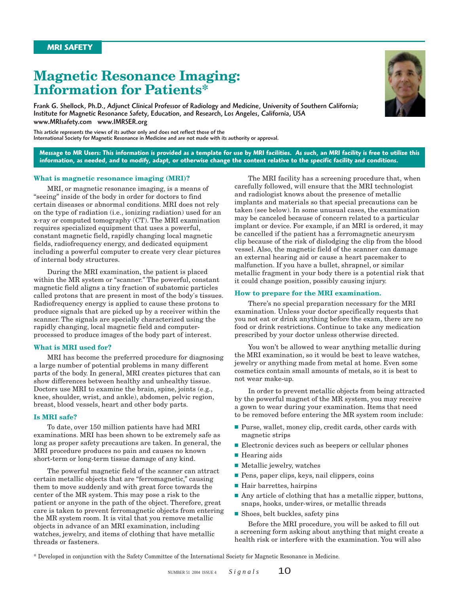### **Magnetic Resonance Imaging: Information for Patients\***

Frank G. Shellock, Ph.D., Adjunct Clinical Professor of Radiology and Medicine, University of Southern California; Institute for Magnetic Resonance Safety, Education, and Research, Los Angeles, California, USA www.MRIsafety.com www.IMRSER.org

This article represents the views of its author only and does not reflect those of the International Society for Magnetic Resonance in Medicine and are not made with its authority or approval.

**Message to MR Users: This information is provided as a template for use by MRI facilities. As such, an MRI facility is free to utilize this information, as needed, and to modify, adapt, or otherwise change the content relative to the specific facility and conditions.**

#### **What is magnetic resonance imaging (MRI)?**

MRI, or magnetic resonance imaging, is a means of "seeing" inside of the body in order for doctors to find certain diseases or abnormal conditions. MRI does not rely on the type of radiation (i.e., ionizing radiation) used for an x-ray or computed tomography (CT). The MRI examination requires specialized equipment that uses a powerful, constant magnetic field, rapidly changing local magnetic fields, radiofrequency energy, and dedicated equipment including a powerful computer to create very clear pictures of internal body structures.

During the MRI examination, the patient is placed within the MR system or "scanner." The powerful, constant magnetic field aligns a tiny fraction of subatomic particles called protons that are present in most of the body's tissues. Radiofrequency energy is applied to cause these protons to produce signals that are picked up by a receiver within the scanner. The signals are specially characterized using the rapidly changing, local magnetic field and computerprocessed to produce images of the body part of interest.

#### **What is MRI used for?**

MRI has become the preferred procedure for diagnosing a large number of potential problems in many different parts of the body. In general, MRI creates pictures that can show differences between healthy and unhealthy tissue. Doctors use MRI to examine the brain, spine, joints (e.g., knee, shoulder, wrist, and ankle), abdomen, pelvic region, breast, blood vessels, heart and other body parts.

#### **Is MRI safe?**

To date, over 150 million patients have had MRI examinations. MRI has been shown to be extremely safe as long as proper safety precautions are taken. In general, the MRI procedure produces no pain and causes no known short-term or long-term tissue damage of any kind.

The powerful magnetic field of the scanner can attract certain metallic objects that are "ferromagnetic," causing them to move suddenly and with great force towards the center of the MR system. This may pose a risk to the patient or anyone in the path of the object. Therefore, great care is taken to prevent ferromagnetic objects from entering the MR system room. It is vital that you remove metallic objects in advance of an MRI examination, including watches, jewelry, and items of clothing that have metallic threads or fasteners.

The MRI facility has a screening procedure that, when carefully followed, will ensure that the MRI technologist and radiologist knows about the presence of metallic implants and materials so that special precautions can be taken (see below). In some unusual cases, the examination may be canceled because of concern related to a particular implant or device. For example, if an MRI is ordered, it may be cancelled if the patient has a ferromagnetic aneurysm clip because of the risk of dislodging the clip from the blood vessel. Also, the magnetic field of the scanner can damage an external hearing aid or cause a heart pacemaker to malfunction. If you have a bullet, shrapnel, or similar metallic fragment in your body there is a potential risk that it could change position, possibly causing injury.

#### **How to prepare for the MRI examination.**

There's no special preparation necessary for the MRI examination. Unless your doctor specifically requests that you not eat or drink anything before the exam, there are no food or drink restrictions. Continue to take any medication prescribed by your doctor unless otherwise directed.

You won't be allowed to wear anything metallic during the MRI examination, so it would be best to leave watches, jewelry or anything made from metal at home. Even some cosmetics contain small amounts of metals, so it is best to not wear make-up.

In order to prevent metallic objects from being attracted by the powerful magnet of the MR system, you may receive a gown to wear during your examination. Items that need to be removed before entering the MR system room include:

- Purse, wallet, money clip, credit cards, other cards with magnetic strips
- **Electronic devices such as beepers or cellular phones**
- **Exercise** Hearing aids
- Metallic jewelry, watches
- Pens, paper clips, keys, nail clippers, coins
- Hair barrettes, hairpins
- Any article of clothing that has a metallic zipper, buttons, snaps, hooks, under-wires, or metallic threads
- Shoes, belt buckles, safety pins

Before the MRI procedure, you will be asked to fill out a screening form asking about anything that might create a health risk or interfere with the examination. You will also

\* Developed in conjunction with the Safety Committee of the International Society for Magnetic Resonance in Medicine.

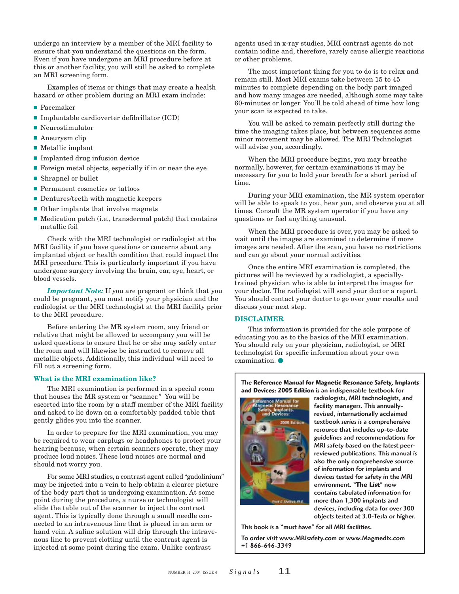undergo an interview by a member of the MRI facility to ensure that you understand the questions on the form. Even if you have undergone an MRI procedure before at this or another facility, you will still be asked to complete an MRI screening form.

Examples of items or things that may create a health hazard or other problem during an MRI exam include:

- **Pacemaker**
- Implantable cardioverter defibrillator (ICD)
- **Neurostimulator**
- **Aneurysm clip**
- **Metallic implant**
- **Implanted drug infusion device**
- Foreign metal objects, especially if in or near the eye
- **Shrapnel or bullet**
- **Permanent cosmetics or tattoos**
- **Dentures/teeth with magnetic keepers**
- **Other implants that involve magnets**
- Medication patch (i.e., transdermal patch) that contains metallic foil

Check with the MRI technologist or radiologist at the MRI facility if you have questions or concerns about any implanted object or health condition that could impact the MRI procedure. This is particularly important if you have undergone surgery involving the brain, ear, eye, heart, or blood vessels.

*Important Note:* If you are pregnant or think that you could be pregnant, you must notify your physician and the radiologist or the MRI technologist at the MRI facility prior to the MRI procedure.

Before entering the MR system room, any friend or relative that might be allowed to accompany you will be asked questions to ensure that he or she may safely enter the room and will likewise be instructed to remove all metallic objects. Additionally, this individual will need to fill out a screening form.

#### **What is the MRI examination like?**

The MRI examination is performed in a special room that houses the MR system or "scanner." You will be escorted into the room by a staff member of the MRI facility and asked to lie down on a comfortably padded table that gently glides you into the scanner.

In order to prepare for the MRI examination, you may be required to wear earplugs or headphones to protect your hearing because, when certain scanners operate, they may produce loud noises. These loud noises are normal and should not worry you.

For some MRI studies, a contrast agent called "gadolinium" may be injected into a vein to help obtain a clearer picture of the body part that is undergoing examination. At some point during the procedure, a nurse or technologist will slide the table out of the scanner to inject the contrast agent. This is typically done through a small needle connected to an intravenous line that is placed in an arm or hand vein. A saline solution will drip through the intravenous line to prevent clotting until the contrast agent is injected at some point during the exam. Unlike contrast

agents used in x-ray studies, MRI contrast agents do not contain iodine and, therefore, rarely cause allergic reactions or other problems.

The most important thing for you to do is to relax and remain still. Most MRI exams take between 15 to 45 minutes to complete depending on the body part imaged and how many images are needed, although some may take 60-minutes or longer. You'll be told ahead of time how long your scan is expected to take.

You will be asked to remain perfectly still during the time the imaging takes place, but between sequences some minor movement may be allowed. The MRI Technologist will advise you, accordingly.

When the MRI procedure begins, you may breathe normally, however, for certain examinations it may be necessary for you to hold your breath for a short period of time.

During your MRI examination, the MR system operator will be able to speak to you, hear you, and observe you at all times. Consult the MR system operator if you have any questions or feel anything unusual.

When the MRI procedure is over, you may be asked to wait until the images are examined to determine if more images are needed. After the scan, you have no restrictions and can go about your normal activities.

Once the entire MRI examination is completed, the pictures will be reviewed by a radiologist, a speciallytrained physician who is able to interpret the images for your doctor. The radiologist will send your doctor a report. You should contact your doctor to go over your results and discuss your next step.

#### **DISCLAIMER**

This information is provided for the sole purpose of educating you as to the basics of the MRI examination. You should rely on your physician, radiologist, or MRI technologist for specific information about your own examination.

#### The **Reference Manual for Magnetic Resonance Safety, Implants and Devices: 2005 Edition** is an indispensable textbook for



radiologists, MRI technologists, and facility managers. This annuallyrevised, internationally acclaimed textbook series is a comprehensive resource that includes up-to-date guidelines and recommendations for MRI safety based on the latest peerreviewed publications. This manual is also the only comprehensive source of information for implants and devices tested for safety in the MRI environment. "**The List**" now contains tabulated information for more than 1,300 implants and devices, including data for over 300 objects tested at 3.0-Tesla or higher.

This book is a "must have" for all MRI facilities.

To order visit www.MRIsafety.com or www.Magmedix.com +1 866-646-3349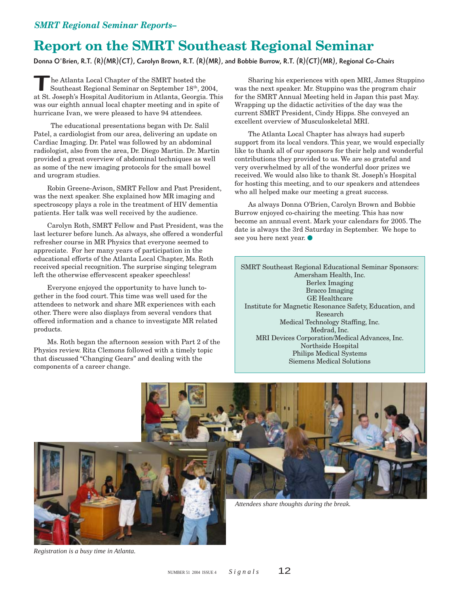### **Report on the SMRT Southeast Regional Seminar**

Donna O'Brien, R.T. (R)(MR)(CT), Carolyn Brown, R.T. (R)(MR), and Bobbie Burrow, R.T. (R)(CT)(MR), Regional Co-Chairs

he Atlanta Local Chapter of the SMRT hosted the<br>Southeast Regional Seminar on September 18<sup>th</sup>, 2004,<br>at St. Joseph's Hospital Auditorium in Atlanta, Georgia. This he Atlanta Local Chapter of the SMRT hosted the Southeast Regional Seminar on September 18th, 2004, was our eighth annual local chapter meeting and in spite of hurricane Ivan, we were pleased to have 94 attendees.

 The educational presentations began with Dr. Salil Patel, a cardiologist from our area, delivering an update on Cardiac Imaging. Dr. Patel was followed by an abdominal radiologist, also from the area, Dr. Diego Martin. Dr. Martin provided a great overview of abdominal techniques as well as some of the new imaging protocols for the small bowel and urogram studies.

Robin Greene-Avison, SMRT Fellow and Past President, was the next speaker. She explained how MR imaging and spectroscopy plays a role in the treatment of HIV dementia patients. Her talk was well received by the audience.

Carolyn Roth, SMRT Fellow and Past President, was the last lecturer before lunch. As always, she offered a wonderful refresher course in MR Physics that everyone seemed to appreciate. For her many years of participation in the educational efforts of the Atlanta Local Chapter, Ms. Roth received special recognition. The surprise singing telegram left the otherwise effervescent speaker speechless!

Everyone enjoyed the opportunity to have lunch together in the food court. This time was well used for the attendees to network and share MR experiences with each other. There were also displays from several vendors that offered information and a chance to investigate MR related products.

Ms. Roth began the afternoon session with Part 2 of the Physics review. Rita Clemons followed with a timely topic that discussed "Changing Gears" and dealing with the components of a career change.

Sharing his experiences with open MRI, James Stuppino was the next speaker. Mr. Stuppino was the program chair for the SMRT Annual Meeting held in Japan this past May. Wrapping up the didactic activities of the day was the current SMRT President, Cindy Hipps. She conveyed an excellent overview of Musculoskeletal MRI.

The Atlanta Local Chapter has always had superb support from its local vendors. This year, we would especially like to thank all of our sponsors for their help and wonderful contributions they provided to us. We are so grateful and very overwhelmed by all of the wonderful door prizes we received. We would also like to thank St. Joseph's Hospital for hosting this meeting, and to our speakers and attendees who all helped make our meeting a great success.

As always Donna O'Brien, Carolyn Brown and Bobbie Burrow enjoyed co-chairing the meeting. This has now become an annual event. Mark your calendars for 2005. The date is always the 3rd Saturday in September. We hope to see you here next year.

SMRT Southeast Regional Educational Seminar Sponsors: Amersham Health, Inc. Berlex Imaging Bracco Imaging GE Healthcare Institute for Magnetic Resonance Safety, Education, and Research Medical Technology Staffing, Inc. Medrad, Inc. MRI Devices Corporation/Medical Advances, Inc. Northside Hospital Philips Medical Systems Siemens Medical Solutions



*Registration is a busy time in Atlanta.*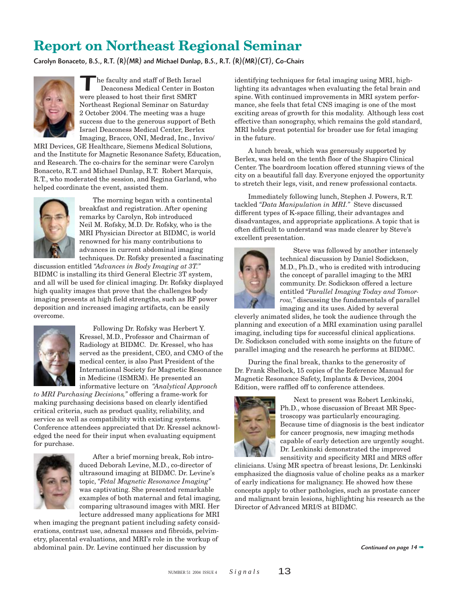### **Report on Northeast Regional Seminar**

Carolyn Bonaceto, B.S., R.T. (R)(MR) and Michael Dunlap, B.S., R.T. (R)(MR)(CT), Co-Chairs



The faculty and staff of Beth Israe<br>Deaconess Medical Center in B<br>were pleased to host their first SMRT he faculty and staff of Beth Israel Deaconess Medical Center in Boston Northeast Regional Seminar on Saturday 2 October 2004. The meeting was a huge success due to the generous support of Beth Israel Deaconess Medical Center, Berlex Imaging, Bracco, ONI, Medrad, Inc., Invivo/

MRI Devices, GE Healthcare, Siemens Medical Solutions, and the Institute for Magnetic Resonance Safety, Education, and Research. The co-chairs for the seminar were Carolyn Bonaceto, R.T. and Michael Dunlap, R.T. Robert Marquis, R.T., who moderated the session, and Regina Garland, who helped coordinate the event, assisted them.



The morning began with a continental breakfast and registration. After opening remarks by Carolyn, Rob introduced Neil M. Rofsky, M.D. Dr. Rofsky, who is the MRI Physician Director at BIDMC, is world renowned for his many contributions to advances in current abdominal imaging techniques. Dr. Rofsky presented a fascinating

discussion entitled *"Advances in Body Imaging at 3T."* BIDMC is installing its third General Electric 3T system, and all will be used for clinical imaging. Dr. Rofsky displayed high quality images that prove that the challenges body imaging presents at high field strengths, such as RF power deposition and increased imaging artifacts, can be easily overcome.



Following Dr. Rofsky was Herbert Y. Kressel, M.D., Professor and Chairman of Radiology at BIDMC. Dr. Kressel, who has served as the president, CEO, and CMO of the medical center, is also Past President of the International Society for Magnetic Resonance in Medicine (ISMRM). He presented an informative lecture on *"Analytical Approach*

*to MRI Purchasing Decisions,"* offering a frame-work for making purchasing decisions based on clearly identified critical criteria, such as product quality, reliability, and service as well as compatibility with existing systems. Conference attendees appreciated that Dr. Kressel acknowledged the need for their input when evaluating equipment for purchase.



After a brief morning break, Rob introduced Deborah Levine, M.D., co-director of ultrasound imaging at BIDMC. Dr. Levine's topic, *"Fetal Magnetic Resonance Imaging"* was captivating. She presented remarkable examples of both maternal and fetal imaging, comparing ultrasound images with MRI. Her lecture addressed many applications for MRI

when imaging the pregnant patient including safety considerations, contrast use, adnexal masses and fibroids, pelvimetry, placental evaluations, and MRI's role in the workup of abdominal pain. Dr. Levine continued her discussion by

identifying techniques for fetal imaging using MRI, highlighting its advantages when evaluating the fetal brain and spine. With continued improvements in MRI system performance, she feels that fetal CNS imaging is one of the most exciting areas of growth for this modality. Although less cost effective than sonography, which remains the gold standard, MRI holds great potential for broader use for fetal imaging in the future.

A lunch break, which was generously supported by Berlex, was held on the tenth floor of the Shapiro Clinical Center. The boardroom location offered stunning views of the city on a beautiful fall day. Everyone enjoyed the opportunity to stretch their legs, visit, and renew professional contacts.

Immediately following lunch, Stephen J. Powers, R.T. tackled *"Data Manipulation in MRI."* Steve discussed different types of K-space filling, their advantages and disadvantages, and appropriate applications. A topic that is often difficult to understand was made clearer by Steve's excellent presentation.



Steve was followed by another intensely technical discussion by Daniel Sodickson, M.D., Ph.D., who is credited with introducing the concept of parallel imaging to the MRI community. Dr. Sodickson offered a lecture entitled *"Parallel Imaging Today and Tomorrow,"* discussing the fundamentals of parallel imaging and its uses. Aided by several

cleverly animated slides, he took the audience through the planning and execution of a MRI examination using parallel imaging, including tips for successful clinical applications. Dr. Sodickson concluded with some insights on the future of parallel imaging and the research he performs at BIDMC.

During the final break, thanks to the generosity of Dr. Frank Shellock, 15 copies of the Reference Manual for Magnetic Resonance Safety, Implants & Devices, 2004 Edition, were raffled off to conference attendees.



Next to present was Robert Lenkinski, Ph.D., whose discussion of Breast MR Spectroscopy was particularly encouraging. Because time of diagnosis is the best indicator for cancer prognosis, new imaging methods capable of early detection are urgently sought. Dr. Lenkinski demonstrated the improved sensitivity and specificity MRI and MRS offer

clinicians. Using MR spectra of breast lesions, Dr. Lenkinski emphasized the diagnosis value of choline peaks as a marker of early indications for malignancy. He showed how these concepts apply to other pathologies, such as prostate cancer and malignant brain lesions, highlighting his research as the Director of Advanced MRI/S at BIDMC.

*Continued on page 14* ➠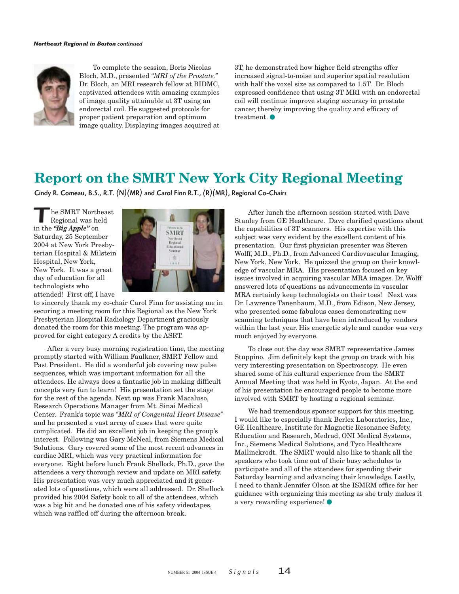#### *Northeast Regional in Boston continued*



To complete the session, Boris Nicolas Bloch, M.D., presented *"MRI of the Prostate."* Dr. Bloch, an MRI research fellow at BIDMC, captivated attendees with amazing examples of image quality attainable at 3T using an endorectal coil. He suggested protocols for proper patient preparation and optimum image quality. Displaying images acquired at 3T, he demonstrated how higher field strengths offer increased signal-to-noise and superior spatial resolution with half the voxel size as compared to 1.5T. Dr. Bloch expressed confidence that using 3T MRI with an endorectal coil will continue improve staging accuracy in prostate cancer, thereby improving the quality and efficacy of treatment.  $\bullet$ 

### **Report on the SMRT New York City Regional Meeting**

Cindy R. Comeau, B.S., R.T. (N)(MR) and Carol Finn R.T., (R)(MR), Regional Co-Chairs

**The SMRT North<br>Regional was here in the "Big Apple"** on he SMRT Northeast Regional was held Saturday, 25 September 2004 at New York Presbyterian Hospital & Milstein Hospital, New York, New York. It was a great day of education for all technologists who attended! First off, I have



to sincerely thank my co-chair Carol Finn for assisting me in securing a meeting room for this Regional as the New York Presbyterian Hospital Radiology Department graciously donated the room for this meeting. The program was approved for eight category A credits by the ASRT.

After a very busy morning registration time, the meeting promptly started with William Faulkner, SMRT Fellow and Past President. He did a wonderful job covering new pulse sequences, which was important information for all the attendees. He always does a fantastic job in making difficult concepts very fun to learn! His presentation set the stage for the rest of the agenda. Next up was Frank Macaluso, Research Operations Manager from Mt. Sinai Medical Center. Frank's topic was *"MRI of Congenital Heart Disease"* and he presented a vast array of cases that were quite complicated. He did an excellent job in keeping the group's interest. Following was Gary McNeal, from Siemens Medical Solutions. Gary covered some of the most recent advances in cardiac MRI, which was very practical information for everyone. Right before lunch Frank Shellock, Ph.D., gave the attendees a very thorough review and update on MRI safety. His presentation was very much appreciated and it generated lots of questions, which were all addressed. Dr. Shellock provided his 2004 Safety book to all of the attendees, which was a big hit and he donated one of his safety videotapes, which was raffled off during the afternoon break.

After lunch the afternoon session started with Dave Stanley from GE Healthcare. Dave clarified questions about the capabilities of 3T scanners. His expertise with this subject was very evident by the excellent content of his presentation. Our first physician presenter was Steven Wolff, M.D., Ph.D., from Advanced Cardiovascular Imaging, New York, New York. He quizzed the group on their knowledge of vascular MRA. His presentation focused on key issues involved in acquiring vascular MRA images. Dr. Wolff answered lots of questions as advancements in vascular MRA certainly keep technologists on their toes! Next was Dr. Lawrence Tanenbaum, M.D., from Edison, New Jersey, who presented some fabulous cases demonstrating new scanning techniques that have been introduced by vendors within the last year. His energetic style and candor was very much enjoyed by everyone.

To close out the day was SMRT representative James Stuppino. Jim definitely kept the group on track with his very interesting presentation on Spectroscopy. He even shared some of his cultural experience from the SMRT Annual Meeting that was held in Kyoto, Japan. At the end of his presentation he encouraged people to become more involved with SMRT by hosting a regional seminar.

We had tremendous sponsor support for this meeting. I would like to especially thank Berlex Laboratories, Inc., GE Healthcare, Institute for Magnetic Resonance Safety, Education and Research, Medrad, ONI Medical Systems, Inc., Siemens Medical Solutions, and Tyco Healthcare Mallinckrodt. The SMRT would also like to thank all the speakers who took time out of their busy schedules to participate and all of the attendees for spending their Saturday learning and advancing their knowledge. Lastly, I need to thank Jennifer Olson at the ISMRM office for her guidance with organizing this meeting as she truly makes it a very rewarding experience!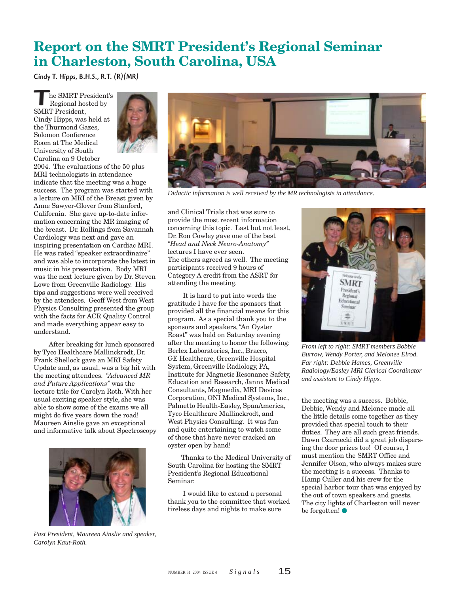### **Report on the SMRT President's Regional Seminar in Charleston, South Carolina, USA**

Cindy T. Hipps, B.H.S., R.T. (R)(MR)

he SMRT President's Regional hosted by SMRT President, Cindy Hipps, was held at the Thurmond Gazes, Solomon Conference Room at The Medical University of South Carolina on 9 October



2004. The evaluations of the 50 plus MRI technologists in attendance indicate that the meeting was a huge success. The program was started with a lecture on MRI of the Breast given by Anne Sawyer-Glover from Stanford, California. She gave up-to-date information concerning the MR imaging of the breast. Dr. Rollings from Savannah Cardiology was next and gave an inspiring presentation on Cardiac MRI. He was rated "speaker extraordinaire" and was able to incorporate the latest in music in his presentation. Body MRI was the next lecture given by Dr. Steven Lowe from Greenville Radiology. His tips and suggestions were well received by the attendees. Geoff West from West Physics Consulting presented the group with the facts for ACR Quality Control and made everything appear easy to understand.

After breaking for lunch sponsored by Tyco Healthcare Mallinckrodt, Dr. Frank Shellock gave an MRI Safety Update and, as usual, was a big hit with the meeting attendees. *"Advanced MR and Future Applications"* was the lecture title for Carolyn Roth. With her usual exciting speaker style, she was able to show some of the exams we all might do five years down the road! Maureen Ainslie gave an exceptional and informative talk about Spectroscopy



*Past President, Maureen Ainslie and speaker, Carolyn Kaut-Roth.*



*Didactic information is well received by the MR technologists in attendance.*

and Clinical Trials that was sure to provide the most recent information concerning this topic. Last but not least, Dr. Ron Cowley gave one of the best *"Head and Neck Neuro-Anatomy"* lectures I have ever seen. The others agreed as well. The meeting participants received 9 hours of Category A credit from the ASRT for attending the meeting.

 It is hard to put into words the gratitude I have for the sponsors that provided all the financial means for this program. As a special thank you to the sponsors and speakers, "An Oyster Roast" was held on Saturday evening after the meeting to honor the following: Berlex Laboratories, Inc., Bracco, GE Healthcare, Greenville Hospital System, Greenville Radiology, PA, Institute for Magnetic Resonance Safety, Education and Research, Jannx Medical Consultants, Magmedix, MRI Devices Corporation, ONI Medical Systems, Inc., Palmetto Health-Easley, SpanAmerica, Tyco Healthcare Mallinckrodt, and West Physics Consulting. It was fun and quite entertaining to watch some of those that have never cracked an oyster open by hand!

Thanks to the Medical University of South Carolina for hosting the SMRT President's Regional Educational Seminar.

 I would like to extend a personal thank you to the committee that worked tireless days and nights to make sure



*From left to right: SMRT members Bobbie Burrow, Wendy Porter, and Melonee Elrod. Far right: Debbie Hames, Greenville Radiology/Easley MRI Clerical Coordinator and assistant to Cindy Hipps.*

the meeting was a success. Bobbie, Debbie, Wendy and Melonee made all the little details come together as they provided that special touch to their duties. They are all such great friends. Dawn Czarnecki did a great job dispersing the door prizes too! Of course, I must mention the SMRT Office and Jennifer Olson, who always makes sure the meeting is a success. Thanks to Hamp Culler and his crew for the special harbor tour that was enjoyed by the out of town speakers and guests. The city lights of Charleston will never be forgotten!  $\bullet$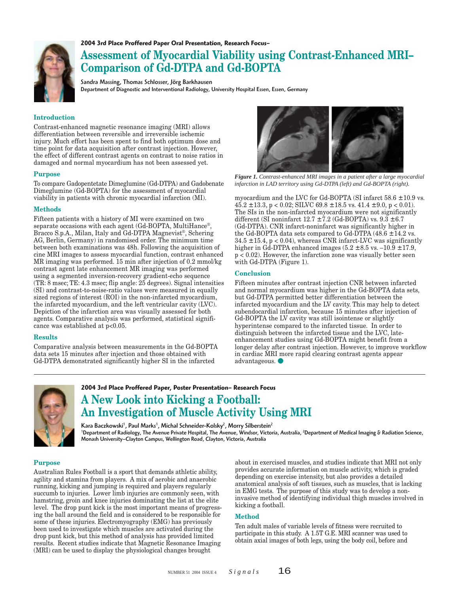

### **2004 3rd Place Proffered Paper Oral Presentation, Research Focus– Assessment of Myocardial Viability using Contrast-Enhanced MRI– Comparison of Gd-DTPA and Gd-BOPTA**

Sandra Massing, Thomas Schlosser, Jörg Barkhausen Department of Diagnostic and Interventional Radiology, University Hospital Essen, Essen, Germany

#### **Introduction**

Contrast-enhanced magnetic resonance imaging (MRI) allows differentiation between reversible and irreversible ischemic injury. Much effort has been spent to find both optimum dose and time point for data acquisition after contrast injection. However, the effect of different contrast agents on contrast to noise ratios in damaged and normal myocardium has not been assessed yet.

#### **Purpose**

To compare Gadopentetate Dimeglumine (Gd-DTPA) and Gadobenate Dimeglumine (Gd-BOPTA) for the assessment of myocardial viability in patients with chronic myocardial infarction (MI).

#### **Methods**

Fifteen patients with a history of MI were examined on two separate occasions with each agent (Gd-BOPTA, MultiHance®, Bracco S.p.A., Milan, Italy and Gd-DTPA Magnevist®, Schering AG, Berlin, Germany) in randomised order. The minimum time between both examinations was 48h. Following the acquisition of cine MRI images to assess myocardial function, contrast enhanced MR imaging was performed. 15 min after injection of 0.2 mmol/kg contrast agent late enhancement MR imaging was performed using a segmented inversion-recovery gradient-echo sequence (TR: 8 msec; TE: 4.3 msec; flip angle: 25 degrees). Signal intensities (SI) and contrast-to-noise-ratio values were measured in equally sized regions of interest (ROI) in the non-infarcted myocardium, the infarcted myocardium, and the left ventricular cavity (LVC). Depiction of the infarction area was visually assessed for both agents. Comparative analysis was performed, statistical significance was established at  $p<0.05$ .

#### **Results**

Comparative analysis between measurements in the Gd-BOPTA data sets 15 minutes after injection and those obtained with Gd-DTPA demonstrated significantly higher SI in the infarcted



*Figure 1. Contrast-enhanced MRI images in a patient after a large myocardial infarction in LAD territory using Gd-DTPA (left) and Gd-BOPTA (right).*

myocardium and the LVC for Gd-BOPTA (SI infarct 58.6 ± 10.9 vs.  $45.2 \pm 13.3$ , p < 0.02; SILVC 69.8  $\pm$  18.5 vs. 41.4  $\pm$  9.0, p < 0.01). The SIs in the non-infarcted myocardium were not significantly different (SI noninfarct  $12.7 \pm 7.2$  (Gd-BOPTA) vs.  $9.3 \pm 6.7$ (Gd-DTPA). CNR infarct-noninfarct was significantly higher in the Gd-BOPTA data sets compared to Gd-DTPA  $(48.6 \pm 14.2 \text{ vs.})$  $34.5 \pm 15.4$ , p < 0.04), whereas CNR infarct-LVC was significantly higher in Gd-DTPA enhanced images  $(5.2 \pm 8.5 \text{ vs. } -10.9 \pm 17.9,$ p < 0.02). However, the infarction zone was visually better seen with Gd-DTPA (Figure 1).

#### **Conclusion**

Fifteen minutes after contrast injection CNR between infarcted and normal myocardium was higher in the Gd-BOPTA data sets, but Gd-DTPA permitted better differentiation between the infarcted myocardium and the LV cavity. This may help to detect subendocardial infarction, because 15 minutes after injection of Gd-BOPTA the LV cavity was still isointense or slightly hyperintense compared to the infarcted tissue. In order to distinguish between the infarcted tissue and the LVC, lateenhancement studies using Gd-BOPTA might benefit from a longer delay after contrast injection. However, to improve workflow in cardiac MRI more rapid clearing contrast agents appear advantageous.



### **2004 3rd Place Proffered Paper, Poster Presentation– Research Focus A New Look into Kicking a Football: An Investigation of Muscle Activity Using MRI**

Kara Baczkowski<sup>1</sup>, Paul Marks<sup>1</sup>, Michal Schneider-Kolsky<sup>2</sup>, Morry Silberstein<sup>2</sup> <sup>1</sup>Department of Radiology, The Avenue Private Hospital, The Avenue, Windsor, Victoria, Australia, <sup>2</sup>Department of Medical Imaging & Radiation Science, Monash University–Clayton Campus, Wellington Road, Clayton, Victoria, Australia

#### **Purpose**

Australian Rules Football is a sport that demands athletic ability, agility and stamina from players. A mix of aerobic and anaerobic running, kicking and jumping is required and players regularly succumb to injuries. Lower limb injuries are commonly seen, with hamstring, groin and knee injuries dominating the list at the elite level. The drop punt kick is the most important means of progressing the ball around the field and is considered to be responsible for some of these injuries. Electromyography (EMG) has previously been used to investigate which muscles are activated during the drop punt kick, but this method of analysis has provided limited results. Recent studies indicate that Magnetic Resonance Imaging (MRI) can be used to display the physiological changes brought

about in exercised muscles, and studies indicate that MRI not only provides accurate information on muscle activity, which is graded depending on exercise intensity, but also provides a detailed anatomical analysis of soft tissues, such as muscles, that is lacking in EMG tests. The purpose of this study was to develop a noninvasive method of identifying individual thigh muscles involved in kicking a football.

#### **Method**

Ten adult males of variable levels of fitness were recruited to participate in this study. A 1.5T G.E. MRI scanner was used to obtain axial images of both legs, using the body coil, before and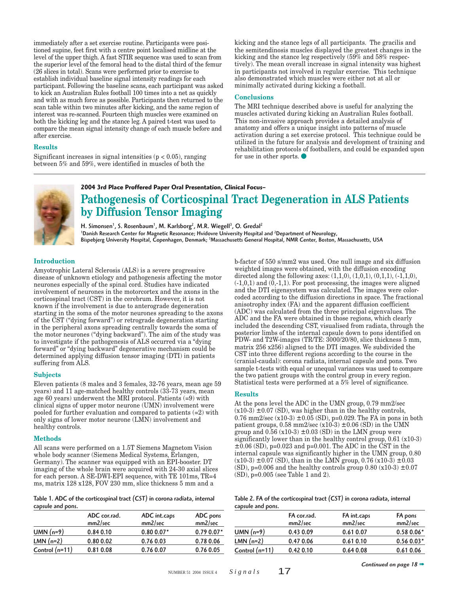immediately after a set exercise routine. Participants were positioned supine, feet first with a centre point localised midline at the level of the upper thigh. A fast STIR sequence was used to scan from the superior level of the femoral head to the distal third of the femur (26 slices in total). Scans were performed prior to exercise to establish individual baseline signal intensity readings for each participant. Following the baseline scans, each participant was asked to kick an Australian Rules football 100 times into a net as quickly and with as much force as possible. Participants then returned to the scan table within two minutes after kicking, and the same region of interest was re-scanned. Fourteen thigh muscles were examined on both the kicking leg and the stance leg. A paired t-test was used to compare the mean signal intensity change of each muscle before and after exercise.

#### **Results**

Significant increases in signal intensities  $(p < 0.05)$ , ranging between 5% and 59%, were identified in muscles of both the

kicking and the stance legs of all participants. The gracilis and the semitendinosis muscles displayed the greatest changes in the kicking and the stance leg respectively (59% and 58% respectively). The mean overall increase in signal intensity was highest in participants not involved in regular exercise. This technique also demonstrated which muscles were either not at all or minimally activated during kicking a football.

#### **Conclusions**

The MRI technique described above is useful for analyzing the muscles activated during kicking an Australian Rules football. This non-invasive approach provides a detailed analysis of anatomy and offers a unique insight into patterns of muscle activation during a set exercise protocol. This technique could be utilized in the future for analysis and development of training and rehabilitation protocols of footballers, and could be expanded upon for use in other sports.



### **2004 3rd Place Proffered Paper Oral Presentation, Clinical Focus– Pathogenesis of Corticospinal Tract Degeneration in ALS Patients by Diffusion Tensor Imaging**

H. Simonsen<sup>1</sup>, S. Rosenbaum<sup>1</sup>, M. Karlsborg<sup>2</sup>, M.R. Wiegell<sup>3</sup>, O. Gredal<sup>2</sup> <sup>1</sup>Danish Research Center for Magnetic Resonance; Hvidovre University Hospital and <sup>2</sup>Department of Neurology, Bispebjerg University Hospital, Copenhagen, Denmark; <sup>3</sup>Massachusetts General Hospital, NMR Center, Boston, Massachusetts, USA

#### **Introduction**

Amyotrophic Lateral Sclerosis (ALS) is a severe progressive disease of unknown etiology and pathogenesis affecting the motor neurones especially of the spinal cord. Studies have indicated involvement of neurones in the motorcortex and the axons in the corticospinal tract (CST) in the cerebrum. However, it is not known if the involvement is due to anterograde degeneration starting in the soma of the motor neurones spreading to the axons of the CST ("dying forward") or retrograde degeneration starting in the peripheral axons spreading centrally towards the soma of the motor neurones ("dying backward"). The aim of the study was to investigate if the pathogenesis of ALS occurred via a "dying forward" or "dying backward" degenerative mechanism could be determined applying diffusion tensor imaging (DTI) in patients suffering from ALS.

#### **Subjects**

Eleven patients (8 males and 3 females, 32-76 years, mean age 59 years) and 11 age-matched healthy controls (33-73 years, mean age 60 years) underwent the MRI protocol. Patients (=9) with clinical signs of upper motor neurone (UMN) involvement were pooled for further evaluation and compared to patients (=2) with only signs of lower motor neurone (LMN) involvement and healthy controls.

#### **Methods**

All scans were performed on a 1.5T Siemens Magnetom Vision whole body scanner (Siemens Medical Systems, Erlangen, Germany). The scanner was equipped with an EPI-booster. DT imaging of the whole brain were acquired with 24-30 axial slices for each person. A SE-DWI-EPI sequence, with TE 101ms, TR=4 ms, matrix 128 x128, FOV 230 mm, slice thickness 5 mm and a

| Table 1. ADC of the corticospinal tract (CST) in corona radiata, internal |  |  |
|---------------------------------------------------------------------------|--|--|
| capsule and pons.                                                         |  |  |

|                  | ADC cor.rad.<br>mm2/sec | ADC int.caps<br>mm2/sec | ADC pons<br>mm2/sec |
|------------------|-------------------------|-------------------------|---------------------|
| UMN $(n=9)$      | 0.84 0.10               | $0.800.07*$             | $0.79 0.07*$        |
| LMN $(n=2)$      | 0.800.02                | 0.760.03                | 0.78 0.06           |
| Control $(n=11)$ | 0.810.08                | 0.76 0.07               | 0.76 0.05           |
|                  |                         |                         |                     |

b-factor of 550 s/mm2 was used. One null image and six diffusion weighted images were obtained, with the diffusion encoding directed along the following axes: (1,1,0), (1,0,1), (0,1,1), (-1,1,0),  $(-1,0,1)$  and  $(0,-1,1)$ . For post processing, the images were aligned and the DTI eigensystem was calculated. The images were colorcoded according to the diffusion directions in space. The fractional anisotrophy index (FA) and the apparent diffusion coefficient (ADC) was calculated from the three principal eigenvalues. The ADC and the FA were obtained in those regions, which clearly included the descending CST, visualised from radiata, through the posterior limbs of the internal capsule down to pons identified on PDW- and T2W-images (TR/TE: 3000/20/80, slice thickness 5 mm, matrix 256 x256) aligned to the DTI images. We subdivided the CST into three different regions according to the course in the (cranial-caudal): corona radiata, internal capsule and pons. Two sample t-tests with equal or unequal variances was used to compare the two patient groups with the control group in every region. Statistical tests were performed at a 5% level of significance.

#### **Results**

At the pons level the ADC in the UMN group, 0.79 mm2/sec  $(x10-3) \pm 0.07$  (SD), was higher than in the healthy controls, 0.76 mm2/sec  $(x10-3) \pm 0.05$  (SD), p=0.029. The FA in pons in both patient groups,  $0.58 \text{ mm}2/\text{sec}$  (x10-3)  $\pm$  0.06 (SD) in the UMN group and  $0.56$  (x10-3)  $\pm$  0.03 (SD) in the LMN group were significantly lower than in the healthy control group, 0.61 (x10-3)  $\pm$  0.06 (SD), p=0.023 and p=0.001. The ADC in the CST in the internal capsule was significantly higher in the UMN group, 0.80  $(x10-3) \pm 0.07$  (SD), than in the LMN group, 0.76  $(x10-3) \pm 0.03$ (SD), p=0.006 and the healthy controls group  $0.80$  (x10-3)  $\pm$  0.07 (SD), p=0.005 (see Table 1 and 2).

| Table 2. FA of the corticospinal tract (CST) in corona radiata, internal |  |  |
|--------------------------------------------------------------------------|--|--|
| capsule and pons.                                                        |  |  |

|                  | FA cor.rad.<br>mm2/sec | FA int.caps<br>mm2/sec | FA pons<br>mm2/sec |
|------------------|------------------------|------------------------|--------------------|
| UMN $(n=9)$      | 0.43 0.09              | 0.61 0.07              | $0.580.06*$        |
| LMN $(n=2)$      | 0.47 0.06              | 0.610.10               | $0.560.03*$        |
| Control $(n=11)$ | 0.42 0.10              | 0.640.08               | 0.61 0.06          |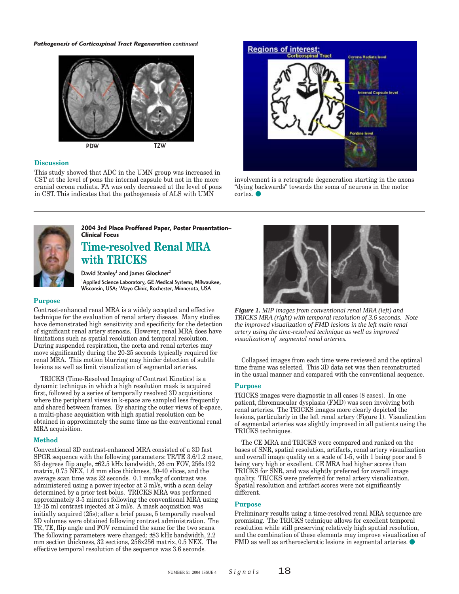*Pathogenesis of Corticospinal Tract Regeneration continued*



#### **Discussion**

This study showed that ADC in the UMN group was increased in CST at the level of pons the internal capsule but not in the more cranial corona radiata. FA was only decreased at the level of pons in CST. This indicates that the pathogenesis of ALS with UMN



**2004 3rd Place Proffered Paper, Poster Presentation– Clinical Focus Time-resolved Renal MRA with TRICKS**

David Stanley<sup>1</sup> and James Glockner<sup>2</sup> 1 Applied Science Laboratory, GE Medical Systems, Milwaukee, Wisconsin, USA; <sup>2</sup>Mayo Clinic, Rochester, Minnesota, USA

#### **Purpose**

Contrast-enhanced renal MRA is a widely accepted and effective technique for the evaluation of renal artery disease. Many studies have demonstrated high sensitivity and specificity for the detection of significant renal artery stenosis. However, renal MRA does have limitations such as spatial resolution and temporal resolution. During suspended respiration, the aorta and renal arteries may move significantly during the 20-25 seconds typically required for renal MRA. This motion blurring may hinder detection of subtle lesions as well as limit visualization of segmental arteries.

TRICKS (Time-Resolved Imaging of Contrast Kinetics) is a dynamic technique in which a high resolution mask is acquired first, followed by a series of temporally resolved 3D acquisitions where the peripheral views in k-space are sampled less frequently and shared between frames. By sharing the outer views of k-space, a multi-phase acquisition with high spatial resolution can be obtained in approximately the same time as the conventional renal MRA acquisition.

#### **Method**

Conventional 3D contrast-enhanced MRA consisted of a 3D fast SPGR sequence with the following parameters: TR/TE 3.6/1.2 msec, 35 degrees flip angle, ±62.5 kHz bandwidth, 26 cm FOV, 256x192 matrix, 0.75 NEX, 1.6 mm slice thickness, 30-40 slices, and the average scan time was 22 seconds. 0.1 mm/kg of contrast was administered using a power injector at 3 ml/s, with a scan delay determined by a prior test bolus. TRICKS MRA was performed approximately 3-5 minutes following the conventional MRA using 12-15 ml contrast injected at 3 ml/s. A mask acquisition was initially acquired (25s); after a brief pause, 5 temporally resolved 3D volumes were obtained following contrast administration. The TR, TE, flip angle and FOV remained the same for the two scans. The following parameters were changed:  $\pm 83$  kHz bandwidth, 2.2 mm section thickness, 32 sections, 256x256 matrix, 0.5 NEX. The effective temporal resolution of the sequence was 3.6 seconds.



involvement is a retrograde degeneration starting in the axons "dying backwards" towards the soma of neurons in the motor cortex.



*Figure 1. MIP images from conventional renal MRA (left) and TRICKS MRA (right) with temporal resolution of 3.6 seconds. Note the improved visualization of FMD lesions in the left main renal artery using the time-resolved technique as well as improved visualization of segmental renal arteries.*

Collapsed images from each time were reviewed and the optimal time frame was selected. This 3D data set was then reconstructed in the usual manner and compared with the conventional sequence.

#### **Purpose**

TRICKS images were diagnostic in all cases (8 cases). In one patient, fibromuscular dysplasia (FMD) was seen involving both renal arteries. The TRICKS images more clearly depicted the lesions, particularly in the left renal artery (Figure 1). Visualization of segmental arteries was slightly improved in all patients using the TRICKS techniques.

The CE MRA and TRICKS were compared and ranked on the bases of SNR, spatial resolution, artifacts, renal artery visualization and overall image quality on a scale of 1-5, with 1 being poor and 5 being very high or excellent. CE MRA had higher scores than TRICKS for SNR, and was slightly preferred for overall image quality. TRICKS were preferred for renal artery visualization. Spatial resolution and artifact scores were not significantly different.

#### **Purpose**

Preliminary results using a time-resolved renal MRA sequence are promising. The TRICKS technique allows for excellent temporal resolution while still preserving relatively high spatial resolution, and the combination of these elements may improve visualization of FMD as well as artherosclerotic lesions in segmental arteries.  $\bullet$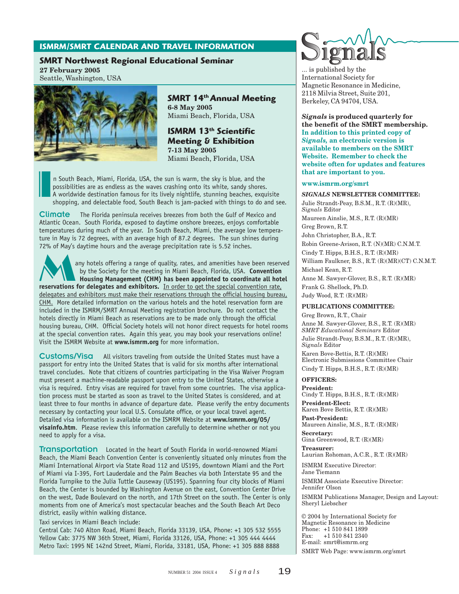#### **ISMRM/SMRT CALENDAR AND TRAVEL INFORMATION**

#### **SMRT Northwest Regional Educational Seminar 27 February 2005**

Seattle, Washington, USA



**SMRT 14th Annual Meeting 6-8 May 2005** Miami Beach, Florida, USA

**ISMRM 13th Scientific Meeting & Exhibition 7-13 May 2005** Miami Beach, Florida, USA

I n South Beach, Miami, Florida, USA, the sun is warm, the sky is blue, and the possibilities are as endless as the waves crashing onto its white, sandy shores. A worldwide destination famous for its lively nightlife, stunning beaches, exquisite shopping, and delectable food, South Beach is jam-packed with things to do and see.

Climate The Florida peninsula receives breezes from both the Gulf of Mexico and Atlantic Ocean. South Florida, exposed to daytime onshore breezes, enjoys comfortable temperatures during much of the year. In South Beach, Miami, the average low temperature in May is 72 degrees, with an average high of 87.2 degrees. The sun shines during 72% of May's daytime hours and the average precipitation rate is 5.52 inches.



 any hotels offering a range of quality, rates, and amenities have been reserved by the Society for the meeting in Miami Beach, Florida, USA. **Convention Housing Management (CHM) has been appointed to coordinate all hotel reservations for delegates and exhibitors.** In order to get the special convention rate,

delegates and exhibitors must make their reservations through the official housing bureau, CHM. More detailed information on the various hotels and the hotel reservation form are included in the ISMRM/SMRT Annual Meeting registration brochure. Do not contact the hotels directly in Miami Beach as reservations are to be made only through the official housing bureau, CHM. Official Society hotels will not honor direct requests for hotel rooms at the special convention rates. Again this year, you may book your reservations online! Visit the ISMRM Website at **www.ismrm.org** for more information.

Customs/Visa All visitors traveling from outside the United States must have a passport for entry into the United States that is valid for six months after international travel concludes. Note that citizens of countries participating in the Visa Waiver Program must present a machine-readable passport upon entry to the United States, otherwise a visa is required. Entry visas are required for travel from some countries. The visa application process must be started as soon as travel to the United States is considered, and at least three to four months in advance of departure date. Please verify the entry documents necessary by contacting your local U.S. Consulate office, or your local travel agent. Detailed visa information is available on the ISMRM Website at **www.ismrm.org/05/ visainfo.htm**. Please review this information carefully to determine whether or not you need to apply for a visa.

**Transportation** Located in the heart of South Florida in world-renowned Miami Beach, the Miami Beach Convention Center is conveniently situated only minutes from the Miami International Airport via State Road 112 and US195, downtown Miami and the Port of Miami via I-395, Fort Lauderdale and the Palm Beaches via both Interstate 95 and the Florida Turnpike to the Julia Tuttle Causeway (US195). Spanning four city blocks of Miami Beach, the Center is bounded by Washington Avenue on the east, Convention Center Drive on the west, Dade Boulevard on the north, and 17th Street on the south. The Center is only moments from one of America's most spectacular beaches and the South Beach Art Deco district, easily within walking distance.

Taxi services in Miami Beach include:

Central Cab: 740 Alton Road, Miami Beach, Florida 33139, USA, Phone: +1 305 532 5555 Yellow Cab: 3775 NW 36th Street, Miami, Florida 33126, USA, Phone: +1 305 444 4444 Metro Taxi: 1995 NE 142nd Street, Miami, Florida, 33181, USA, Phone: +1 305 888 8888



... is published by the International Society for Magnetic Resonance in Medicine, 2118 Milvia Street, Suite 201, Berkeley, CA 94704, USA.

*Signals* **is produced quarterly for the benefit of the SMRT membership. In addition to this printed copy of** *Signals,* **an electronic version is available to members on the SMRT Website. Remember to check the website often for updates and features that are important to you.**

#### **www.ismrm.org/smrt**

#### *SIGNALS* **NEWSLETTER COMMITTEE:**

Julie Strandt-Peay, B.S.M., R.T. (R)(MR), *Signals* Editor Maureen Ainslie, M.S., R.T. (R)(MR) Greg Brown, R.T. John Christopher, B.A., R.T. Robin Greene-Avison, R.T. (N)(MR) C.N.M.T. Cindy T. Hipps, B.H.S., R.T. (R)(MR) William Faulkner, B.S., R.T. (R)(MR)(CT) C.N.M.T. Michael Kean, R.T. Anne M. Sawyer-Glover, B.S., R.T. (R)(MR) Frank G. Shellock, Ph.D. Judy Wood, R.T. (R)(MR)

#### **PUBLICATIONS COMMITTEE:**

Greg Brown, R.T., Chair Anne M. Sawyer-Glover, B.S., R.T. (R)(MR) *SMRT Educational Seminars* Editor Julie Strandt-Peay, B.S.M., R.T. (R)(MR), *Signals* Editor Karen Bove-Bettis, R.T. (R)(MR) Electronic Submissions Committee Chair Cindy T. Hipps, B.H.S., R.T. (R)(MR)

#### **OFFICERS:**

**President:** Cindy T. Hipps, B.H.S., R.T. (R)(MR) **President-Elect:** Karen Bove Bettis, R.T. (R)(MR) **Past-President:**

Maureen Ainslie, M.S., R.T. (R)(MR) **Secretary:** Gina Greenwood, R.T. (R)(MR)

**Treasurer:** Laurian Rohoman, A.C.R., R.T. (R)(MR)

ISMRM Executive Director: Jane Tiemann ISMRM Associate Executive Director: Jennifer Olson ISMRM Publications Manager, Design and Layout: Sheryl Liebscher

© 2004 by International Society for Magnetic Resonance in Medicine Phone: +1 510 841 1899<br>Fax: +1 510 841 2340 +1 510 841 2340 E-mail: smrt@ismrm.org SMRT Web Page: www.ismrm.org/smrt